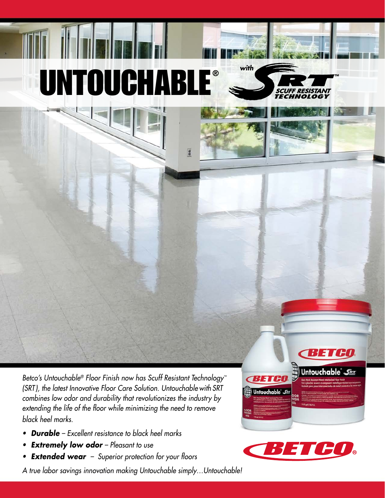## UNTOUCHABLE®

*Betco's Untouchable® Floor Finish now has Scuff Resistant Technology™ (SRT), the latest Innovative Floor Care Solution. Untouchable with SRT combines low odor and durability that revolutionizes the industry by extending the life of the floor while minimizing the need to remove black heel marks.*

- *Durable Excellent resistance to black heel marks*
- *• Extremely low odor Pleasant to use*
- *• Extended wear Superior protection for your floors*

*A true labor savings innovation making Untouchable simply…Untouchable!*



**CBETGO** 







**™**

*with*

 $\frac{a}{2}$